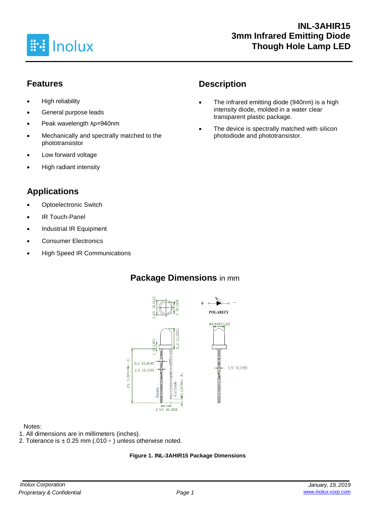

## **Features**

- High reliability
- General purpose leads
- Peak wavelength λp=940nm
- Mechanically and spectrally matched to the phototransistor
- Low forward voltage
- High radiant intensity

## **Applications**

- **Optoelectronic Switch**
- IR Touch-Panel
- Industrial IR Equipment
- Consumer Electronics
- High Speed IR Communications

## **Package Dimensions** in mm



#### Notes:

- 1. All dimensions are in millimeters (inches).
- 2. Tolerance is  $\pm$  0.25 mm (.010  $\prime\prime$  ) unless otherwise noted.

#### **Figure 1. INL-3AHIR15 Package Dimensions**

# **Description**

- The infrared emitting diode (940nm) is a high intensity diode, molded in a water clear transparent plastic package.
- The device is spectrally matched with silicon photodiode and phototransistor.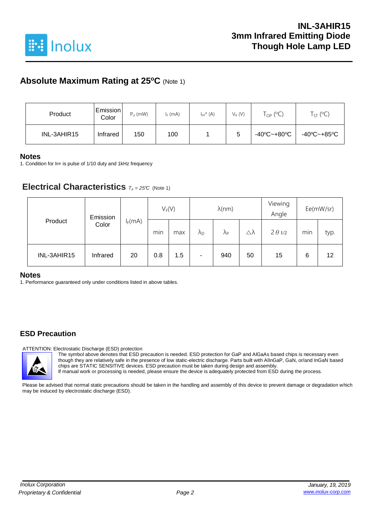

## **Absolute Maximum Rating at 25<sup>o</sup>C** (Note 1)

| Product     | Emission <br>Color | $P_d$ (mW) | $I_F$ (mA) | $I_{FP}^{\star}$ (A) | $V_R(V)$ | $\mathsf{T}_{\mathsf{OP}}$ (°C) | $T_{ST}$ (°C) |
|-------------|--------------------|------------|------------|----------------------|----------|---------------------------------|---------------|
| INL-3AHIR15 | Infrared           | 150        | 100        |                      | 5        | -40°C~+80°C                     | -40°C~+85°C   |

#### **Notes**

1. Condition for IFP is pulse of 1/10 duty and 1kHz frequency

#### **Electrical Characteristics**  $T_A = 25^\circ C$  (Note 1)

|             | Emission |           | $V_F(V)$ |     | $\lambda$ (nm)    |                   |    | Viewing<br>Angle | Ee(mW/sr) |      |
|-------------|----------|-----------|----------|-----|-------------------|-------------------|----|------------------|-----------|------|
| Product     | Color    | $I_F(mA)$ | min      | max | $\lambda_{\rm D}$ | $\Lambda_{\rm P}$ | Δλ | $2 \theta 1/2$   | min       | typ. |
| INL-3AHIR15 | Infrared | 20        | 0.8      | 1.5 | ۰                 | 940               | 50 | 15               | 6         | 12   |

#### **Notes**

1. Performance guaranteed only under conditions listed in above tables.

#### **ESD Precaution**

ATTENTION: Electrostatic Discharge (ESD) protection

The symbol above denotes that ESD precaution is needed. ESD protection for GaP and AlGaAs based chips is necessary even though they are relatively safe in the presence of low static-electric discharge. Parts built with AlInGaP, GaN, or/and InGaN based chips are STATIC SENSITIVE devices. ESD precaution must be taken during design and assembly. If manual work or processing is needed, please ensure the device is adequately protected from ESD during the process.

Please be advised that normal static precautions should be taken in the handling and assembly of this device to prevent damage or degradation which may be induced by electrostatic discharge (ESD).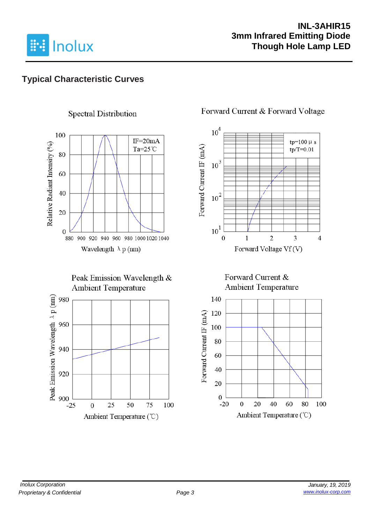

## **INL-3AHIR15 3mm Infrared Emitting Diode Though Hole Lamp LED**

## **Typical Characteristic Curves**

## **Spectral Distribution**



#### Peak Emission Wavelength & **Ambient Temperature**



#### Forward Current & Forward Voltage



#### Forward Current & **Ambient Temperature**

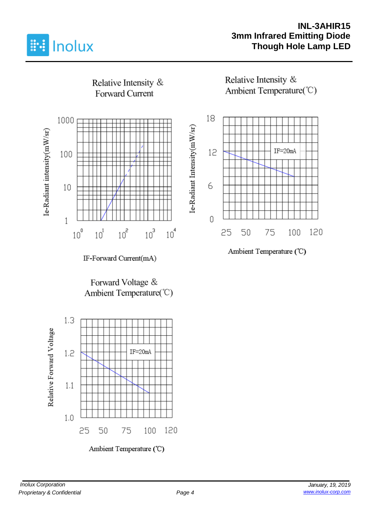

### **INL-3AHIR15 3mm Infrared Emitting Diode Though Hole Lamp LED**

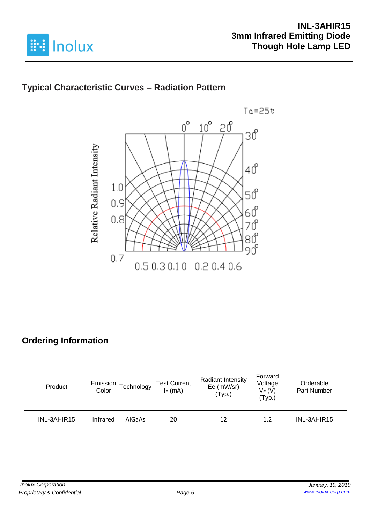

## **Typical Characteristic Curves – Radiation Pattern**



# **Ordering Information**

| Product     | Emission<br>Color | [echnology | <b>Test Current</b><br>$I_F$ (mA) | Radiant Intensity<br>Ee (mW/sr)<br>(Typ.) | Forward<br>Voltage<br>$V_F(V)$<br>(Typ.) | Orderable<br>Part Number |
|-------------|-------------------|------------|-----------------------------------|-------------------------------------------|------------------------------------------|--------------------------|
| INL-3AHIR15 | Infrared          | AlGaAs     | 20                                | 12                                        | 1.2                                      | INL-3AHIR15              |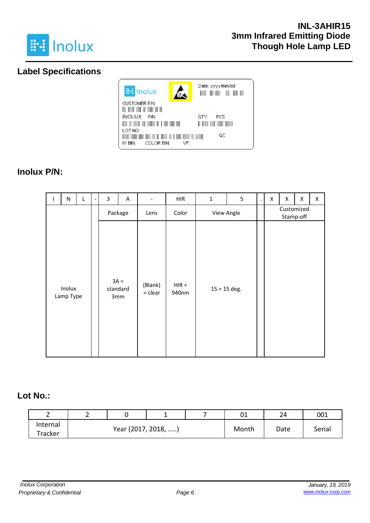

## **Label Specifications**



## **Inolux P/N:**

| $\mathbf{I}$ | ${\sf N}$           | Г       | 3      | A               | $\overline{\phantom{a}}$ | <b>HIR</b>       | $\mathbf 1$    | 5 | $\blacksquare$          | Χ | X | $\pmb{\mathsf{X}}$ | X |
|--------------|---------------------|---------|--------|-----------------|--------------------------|------------------|----------------|---|-------------------------|---|---|--------------------|---|
|              |                     | Package |        | Lens            | Color                    | View Angle       |                |   | Customized<br>Stamp-off |   |   |                    |   |
|              | Inolux<br>Lamp Type |         | $3A =$ | standard<br>3mm | (Blank)<br>$=$ clear     | $HIR =$<br>940nm | $15 = 15$ deg. |   |                         |   |   |                    |   |

#### **Lot No.:**

| -        | - |                     |  |       | 01   | 24     | 001 |
|----------|---|---------------------|--|-------|------|--------|-----|
| Internal |   |                     |  |       |      |        |     |
| Tracker  |   | Year (2017, 2018, ) |  | Month | Date | Serial |     |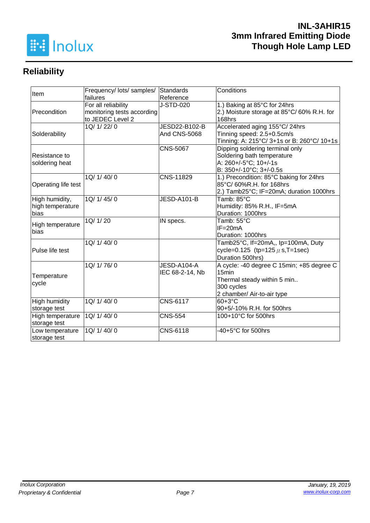

# **Reliability**

| Item                 | Frequency/ lots/ samples/  | Standards           | Conditions                                 |  |  |  |
|----------------------|----------------------------|---------------------|--------------------------------------------|--|--|--|
|                      | failures                   | Reference           |                                            |  |  |  |
|                      | For all reliability        | J-STD-020           | 1.) Baking at 85°C for 24hrs               |  |  |  |
| Precondition         | monitoring tests according |                     | 2.) Moisture storage at 85°C/60% R.H. for  |  |  |  |
|                      | to JEDEC Level 2           |                     | 168hrs                                     |  |  |  |
|                      | 1Q/ 1/ 22/ 0               | JESD22-B102-B       | Accelerated aging 155°C/24hrs              |  |  |  |
| Solderability        |                            | <b>And CNS-5068</b> | Tinning speed: 2.5+0.5cm/s                 |  |  |  |
|                      |                            |                     | Tinning: A: 215°C/ 3+1s or B: 260°C/ 10+1s |  |  |  |
|                      |                            | <b>CNS-5067</b>     | Dipping soldering terminal only            |  |  |  |
| Resistance to        |                            |                     | Soldering bath temperature                 |  |  |  |
| soldering heat       |                            |                     | A: 260+/-5°C; 10+/-1s                      |  |  |  |
|                      |                            |                     | B: 350+/-10°C; 3+/-0.5s                    |  |  |  |
|                      | 1Q/ 1/ 40/ 0               | CNS-11829           | 1.) Precondition: 85°C baking for 24hrs    |  |  |  |
| Operating life test  |                            |                     | 85°C/ 60%R.H. for 168hrs                   |  |  |  |
|                      |                            |                     | 2.) Tamb25°C; IF=20mA; duration 1000hrs    |  |  |  |
| High humidity,       | 1Q/1/45/0                  | JESD-A101-B         | Tamb: 85°C                                 |  |  |  |
| high temperature     |                            |                     | Humidity: 85% R.H., IF=5mA                 |  |  |  |
| bias                 |                            |                     | Duration: 1000hrs                          |  |  |  |
| High temperature     | 1Q/ 1/ 20                  | IN specs.           | Tamb: 55°C                                 |  |  |  |
| bias                 |                            |                     | $IF = 20mA$                                |  |  |  |
|                      |                            |                     | Duration: 1000hrs                          |  |  |  |
|                      | 1Q/1/40/0                  |                     | Tamb25°C, If=20mA,, Ip=100mA, Duty         |  |  |  |
| Pulse life test      |                            |                     | cycle=0.125 (tp=125 $\mu$ s, T=1sec)       |  |  |  |
|                      |                            |                     | Duration 500hrs)                           |  |  |  |
|                      | 1Q/ 1/ 76/ 0               | JESD-A104-A         | A cycle: -40 degree C 15min; +85 degree C  |  |  |  |
|                      |                            | IEC 68-2-14, Nb     | 15 <sub>min</sub>                          |  |  |  |
| Temperature          |                            |                     | Thermal steady within 5 min                |  |  |  |
| cycle                |                            |                     | 300 cycles                                 |  |  |  |
|                      |                            |                     | 2 chamber/ Air-to-air type                 |  |  |  |
| <b>High humidity</b> | 1Q/ 1/ 40/ 0               | <b>CNS-6117</b>     | $60+3°C$                                   |  |  |  |
| storage test         |                            |                     | 90+5/-10% R.H. for 500hrs                  |  |  |  |
| High temperature     | 1Q/ 1/ 40/ 0               | <b>CNS-554</b>      | 100+10°C for 500hrs                        |  |  |  |
| storage test         |                            |                     |                                            |  |  |  |
| Low temperature      | 1Q/ 1/ 40/ 0               | CNS-6118            | -40+5°C for 500hrs                         |  |  |  |
| storage test         |                            |                     |                                            |  |  |  |